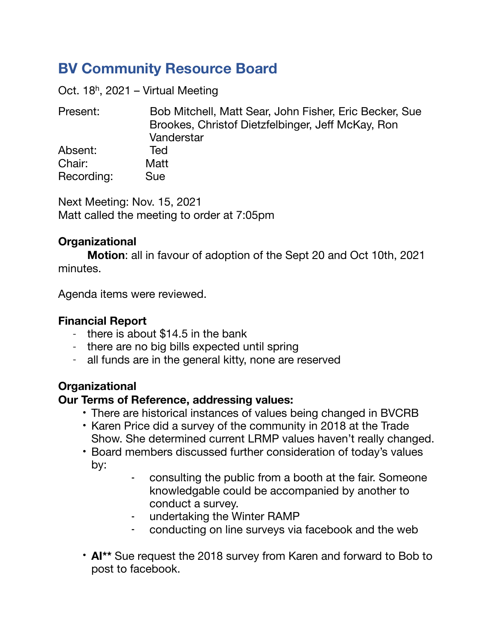# **BV Community Resource Board**

Oct. 18h, 2021 – Virtual Meeting

Present: Bob Mitchell, Matt Sear, John Fisher, Eric Becker, Sue Brookes, Christof Dietzfelbinger, Jeff McKay, Ron Vanderstar Absent: Ted Chair: Matt Recording: Sue

Next Meeting: Nov. 15, 2021 Matt called the meeting to order at 7:05pm

## **Organizational**

**Motion**: all in favour of adoption of the Sept 20 and Oct 10th, 2021 minutes.

Agenda items were reviewed.

### **Financial Report**

- there is about \$14.5 in the bank
- there are no big bills expected until spring
- all funds are in the general kitty, none are reserved

# **Organizational**

### **Our Terms of Reference, addressing values:**

- There are historical instances of values being changed in BVCRB
- Karen Price did a survey of the community in 2018 at the Trade Show. She determined current LRMP values haven't really changed.
- Board members discussed further consideration of today's values by:
	- consulting the public from a booth at the fair. Someone knowledgable could be accompanied by another to conduct a survey.
	- undertaking the Winter RAMP
	- conducting on line surveys via facebook and the web
- **AI\*\*** Sue request the 2018 survey from Karen and forward to Bob to post to facebook.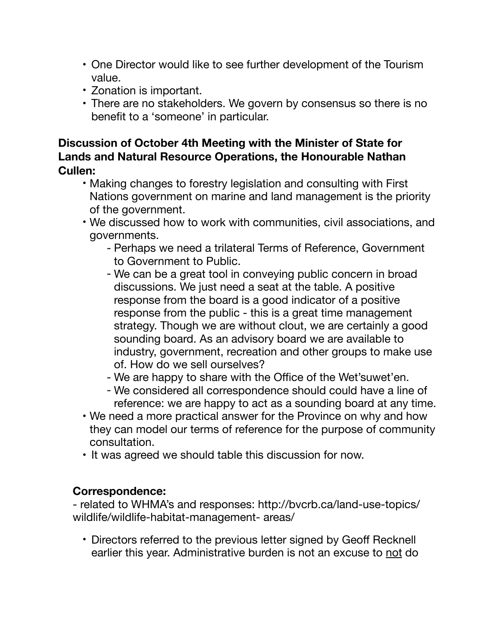- One Director would like to see further development of the Tourism value.
- Zonation is important.
- There are no stakeholders. We govern by consensus so there is no benefit to a 'someone' in particular.

## **Discussion of October 4th Meeting with the Minister of State for Lands and Natural Resource Operations, the Honourable Nathan Cullen:**

- Making changes to forestry legislation and consulting with First Nations government on marine and land management is the priority of the government.
- We discussed how to work with communities, civil associations, and governments.
	- Perhaps we need a trilateral Terms of Reference, Government to Government to Public.
	- We can be a great tool in conveying public concern in broad discussions. We just need a seat at the table. A positive response from the board is a good indicator of a positive response from the public - this is a great time management strategy. Though we are without clout, we are certainly a good sounding board. As an advisory board we are available to industry, government, recreation and other groups to make use of. How do we sell ourselves?
	- We are happy to share with the Office of the Wet'suwet'en.
	- We considered all correspondence should could have a line of reference: we are happy to act as a sounding board at any time.
- We need a more practical answer for the Province on why and how they can model our terms of reference for the purpose of community consultation.
- It was agreed we should table this discussion for now.

## **Correspondence:**

- related to WHMA's and responses: http://bvcrb.ca/land-use-topics/ wildlife/wildlife-habitat-management- areas/

• Directors referred to the previous letter signed by Geoff Recknell earlier this year. Administrative burden is not an excuse to not do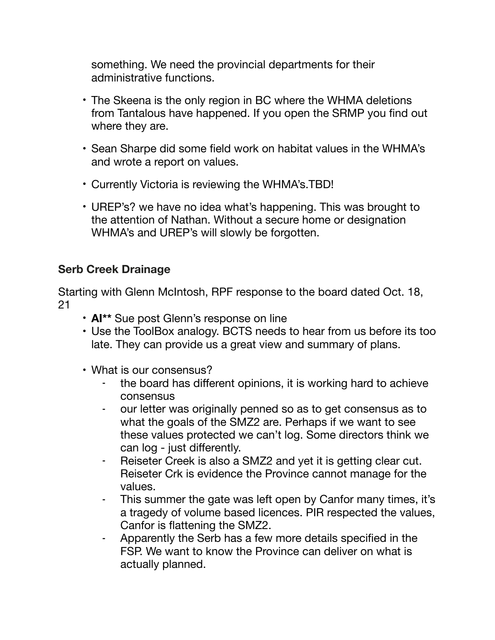something. We need the provincial departments for their administrative functions.

- The Skeena is the only region in BC where the WHMA deletions from Tantalous have happened. If you open the SRMP you find out where they are.
- Sean Sharpe did some field work on habitat values in the WHMA's and wrote a report on values.
- Currently Victoria is reviewing the WHMA's.TBD!
- UREP's? we have no idea what's happening. This was brought to the attention of Nathan. Without a secure home or designation WHMA's and UREP's will slowly be forgotten.

## **Serb Creek Drainage**

Starting with Glenn McIntosh, RPF response to the board dated Oct. 18, 21

- **AI\*\*** Sue post Glenn's response on line
- Use the ToolBox analogy. BCTS needs to hear from us before its too late. They can provide us a great view and summary of plans.
- What is our consensus?
	- the board has different opinions, it is working hard to achieve consensus
	- our letter was originally penned so as to get consensus as to what the goals of the SMZ2 are. Perhaps if we want to see these values protected we can't log. Some directors think we can log - just differently.
	- Reiseter Creek is also a SMZ2 and yet it is getting clear cut. Reiseter Crk is evidence the Province cannot manage for the values.
	- This summer the gate was left open by Canfor many times, it's a tragedy of volume based licences. PIR respected the values, Canfor is flattening the SMZ2.
	- Apparently the Serb has a few more details specified in the FSP. We want to know the Province can deliver on what is actually planned.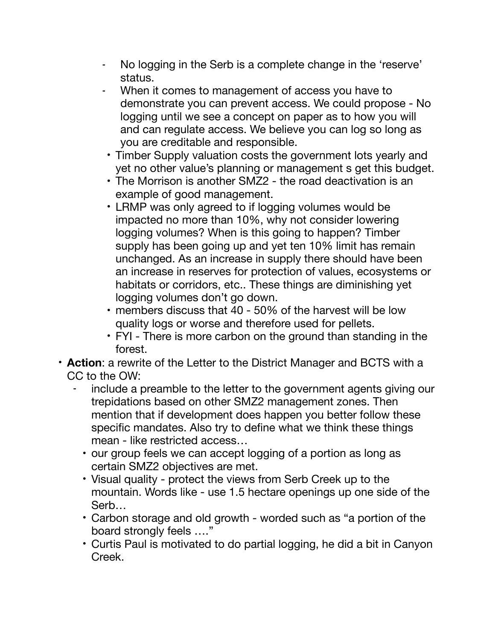- No logging in the Serb is a complete change in the 'reserve' status.
- When it comes to management of access you have to demonstrate you can prevent access. We could propose - No logging until we see a concept on paper as to how you will and can regulate access. We believe you can log so long as you are creditable and responsible.
- Timber Supply valuation costs the government lots yearly and yet no other value's planning or management s get this budget.
- The Morrison is another SMZ2 the road deactivation is an example of good management.
- LRMP was only agreed to if logging volumes would be impacted no more than 10%, why not consider lowering logging volumes? When is this going to happen? Timber supply has been going up and yet ten 10% limit has remain unchanged. As an increase in supply there should have been an increase in reserves for protection of values, ecosystems or habitats or corridors, etc.. These things are diminishing yet logging volumes don't go down.
- members discuss that 40 50% of the harvest will be low quality logs or worse and therefore used for pellets.
- FYI There is more carbon on the ground than standing in the forest.
- **Action**: a rewrite of the Letter to the District Manager and BCTS with a CC to the OW:
	- include a preamble to the letter to the government agents giving our trepidations based on other SMZ2 management zones. Then mention that if development does happen you better follow these specific mandates. Also try to define what we think these things mean - like restricted access…
		- our group feels we can accept logging of a portion as long as certain SMZ2 objectives are met.
		- Visual quality protect the views from Serb Creek up to the mountain. Words like - use 1.5 hectare openings up one side of the Serb…
		- Carbon storage and old growth worded such as "a portion of the board strongly feels …."
		- Curtis Paul is motivated to do partial logging, he did a bit in Canyon Creek.